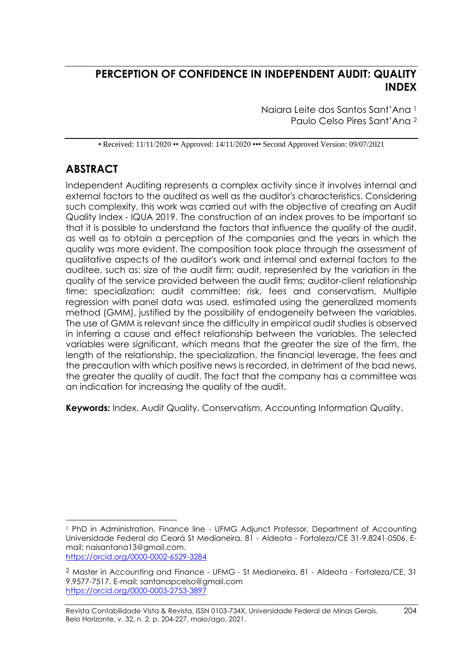# **PERCEPTION OF CONFIDENCE IN INDEPENDENT AUDIT: QUALITY INDEX**

Naiara Leite dos Santos Sant'Ana <sup>1</sup> Paulo Celso Pires Sant'Ana <sup>2</sup>

• Received: 11/11/2020 • Approved: 14/11/2020 •• Second Approved Version: 09/07/2021

# **ABSTRACT**

Independent Auditing represents a complex activity since it involves internal and external factors to the audited as well as the auditor's characteristics. Considering such complexity, this work was carried out with the objective of creating an Audit Quality Index - IQUA 2019. The construction of an index proves to be important so that it is possible to understand the factors that influence the quality of the audit, as well as to obtain a perception of the companies and the years in which the quality was more evident. The composition took place through the assessment of qualitative aspects of the auditor's work and internal and external factors to the auditee, such as: size of the audit firm; audit, represented by the variation in the quality of the service provided between the audit firms; auditor-client relationship time; specialization; audit committee; risk, fees and conservatism. Multiple regression with panel data was used, estimated using the generalized moments method (GMM), justified by the possibility of endogeneity between the variables. The use of GMM is relevant since the difficulty in empirical audit studies is observed in inferring a cause and effect relationship between the variables. The selected variables were significant, which means that the greater the size of the firm, the length of the relationship, the specialization, the financial leverage, the fees and the precaution with which positive news is recorded, in detriment of the bad news, the greater the quality of audit. The fact that the company has a committee was an indication for increasing the quality of the audit.

**Keywords:** Index. Audit Quality. Conservatism. Accounting Information Quality.

<https://orcid.org/0000-0002-6529-3284>

<sup>1</sup> PhD in Administration, Finance line - UFMG Adjunct Professor, Department of Accounting Universidade Federal do Ceará St Medianeira, 81 - Aldeota - Fortaleza/CE 31-9.8241-0506. Email: naisantana13@gmail.com.

 $2$  Master in Accounting and Finance - UFMG - St Medianeira, 81 - Aldeota - Fortaleza/CE, 31 9.9577-7517. E-mail: santanapcelso@gmail.com <https://orcid.org/0000-0003-2753-3897>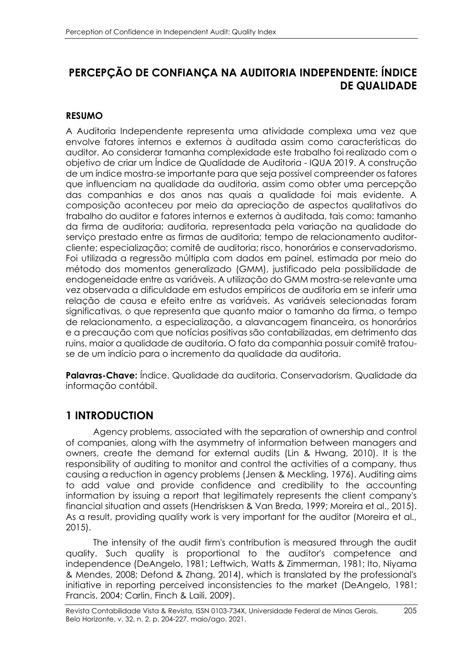# **PERCEPÇÃO DE CONFIANÇA NA AUDITORIA INDEPENDENTE: ÍNDICE DE QUALIDADE**

## **RESUMO**

A Auditoria Independente representa uma atividade complexa uma vez que envolve fatores internos e externos à auditada assim como características do auditor. Ao considerar tamanha complexidade este trabalho foi realizado com o objetivo de criar um Índice de Qualidade de Auditoria - IQUA 2019. A construção de um índice mostra-se importante para que seja possível compreender os fatores que influenciam na qualidade da auditoria, assim como obter uma percepção das companhias e dos anos nas quais a qualidade foi mais evidente. A composição aconteceu por meio da apreciação de aspectos qualitativos do trabalho do auditor e fatores internos e externos à auditada, tais como: tamanho da firma de auditoria; auditoria, representada pela variação na qualidade do serviço prestado entre as firmas de auditoria; tempo de relacionamento auditorcliente; especialização; comitê de auditoria; risco, honorários e conservadorismo. Foi utilizada a regressão múltipla com dados em painel, estimada por meio do método dos momentos generalizado (GMM), justificado pela possibilidade de endogeneidade entre as variáveis. A utilização do GMM mostra-se relevante uma vez observada a dificuldade em estudos empíricos de auditoria em se inferir uma relação de causa e efeito entre as variáveis. As variáveis selecionadas foram significativas, o que representa que quanto maior o tamanho da firma, o tempo de relacionamento, a especialização, a alavancagem financeira, os honorários e a precaução com que notícias positivas são contabilizadas, em detrimento das ruins, maior a qualidade de auditoria. O fato da companhia possuir comitê tratouse de um indício para o incremento da qualidade da auditoria.

**Palavras-Chave:** Índice. Qualidade da auditoria. Conservadorism. Qualidade da informação contábil.

# **1 INTRODUCTION**

Agency problems, associated with the separation of ownership and control of companies, along with the asymmetry of information between managers and owners, create the demand for external audits (Lin & Hwang, 2010). It is the responsibility of auditing to monitor and control the activities of a company, thus causing a reduction in agency problems (Jensen & Meckling, 1976). Auditing aims to add value and provide confidence and credibility to the accounting information by issuing a report that legitimately represents the client company's financial situation and assets (Hendrisksen & Van Breda, 1999; Moreira et al., 2015). As a result, providing quality work is very important for the auditor (Moreira et al., 2015).

The intensity of the audit firm's contribution is measured through the audit quality. Such quality is proportional to the auditor's competence and independence (DeAngelo, 1981; Leftwich, Watts & Zimmerman, 1981; Ito, Niyama & Mendes, 2008; Defond & Zhang, 2014), which is translated by the professional's initiative in reporting perceived inconsistencies to the market (DeAngelo, 1981; Francis, 2004; Carlin, Finch & Laili, 2009).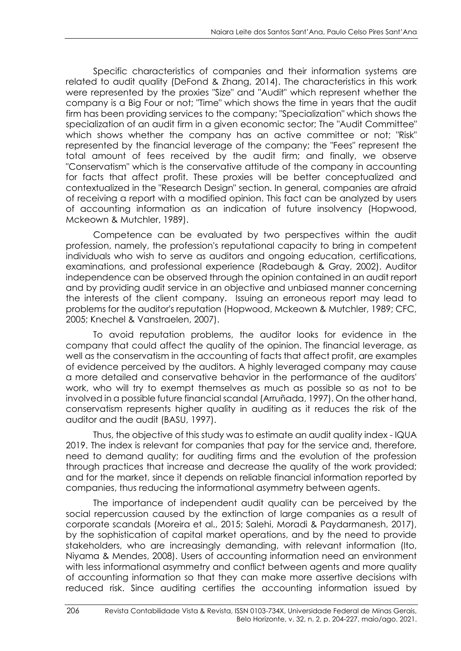Specific characteristics of companies and their information systems are related to audit quality (DeFond & Zhang, 2014). The characteristics in this work were represented by the proxies "Size" and "Audit" which represent whether the company is a Big Four or not; "Time" which shows the time in years that the audit firm has been providing services to the company; "Specialization" which shows the specialization of an audit firm in a given economic sector; The "Audit Committee" which shows whether the company has an active committee or not; "Risk" represented by the financial leverage of the company; the "Fees" represent the total amount of fees received by the audit firm; and finally, we observe "Conservatism" which is the conservative attitude of the company in accounting for facts that affect profit. These proxies will be better conceptualized and contextualized in the "Research Design" section. In general, companies are afraid of receiving a report with a modified opinion. This fact can be analyzed by users of accounting information as an indication of future insolvency (Hopwood, Mckeown & Mutchler, 1989).

Competence can be evaluated by two perspectives within the audit profession, namely, the profession's reputational capacity to bring in competent individuals who wish to serve as auditors and ongoing education, certifications, examinations, and professional experience (Radebaugh & Gray, 2002). Auditor independence can be observed through the opinion contained in an audit report and by providing audit service in an objective and unbiased manner concerning the interests of the client company. Issuing an erroneous report may lead to problems for the auditor's reputation (Hopwood, Mckeown & Mutchler, 1989; CFC, 2005; Knechel & Vanstraelen, 2007).

To avoid reputation problems, the auditor looks for evidence in the company that could affect the quality of the opinion. The financial leverage, as well as the conservatism in the accounting of facts that affect profit, are examples of evidence perceived by the auditors. A highly leveraged company may cause a more detailed and conservative behavior in the performance of the auditors' work, who will try to exempt themselves as much as possible so as not to be involved in a possible future financial scandal (Arruñada, 1997). On the other hand, conservatism represents higher quality in auditing as it reduces the risk of the auditor and the audit (BASU, 1997).

Thus, the objective of this study was to estimate an audit quality index - IQUA 2019. The index is relevant for companies that pay for the service and, therefore, need to demand quality; for auditing firms and the evolution of the profession through practices that increase and decrease the quality of the work provided; and for the market, since it depends on reliable financial information reported by companies, thus reducing the informational asymmetry between agents.

The importance of independent audit quality can be perceived by the social repercussion caused by the extinction of large companies as a result of corporate scandals (Moreira et al., 2015; Salehi, Moradi & Paydarmanesh, 2017), by the sophistication of capital market operations, and by the need to provide stakeholders, who are increasingly demanding, with relevant information (Ito, Niyama & Mendes, 2008). Users of accounting information need an environment with less informational asymmetry and conflict between agents and more quality of accounting information so that they can make more assertive decisions with reduced risk. Since auditing certifies the accounting information issued by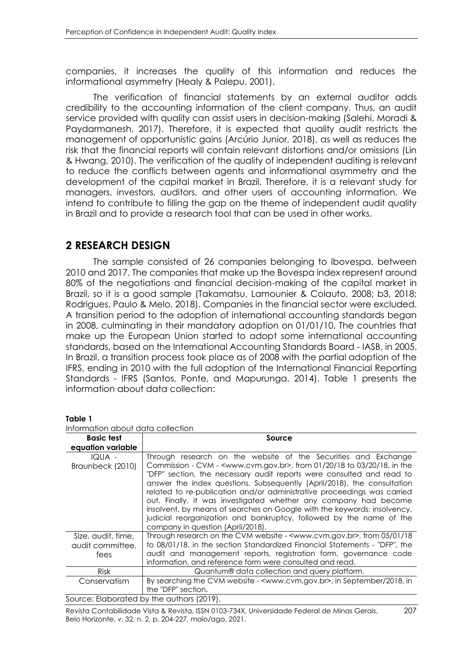companies, it increases the quality of this information and reduces the informational asymmetry (Healy & Palepu, 2001).

The verification of financial statements by an external auditor adds credibility to the accounting information of the client company. Thus, an audit service provided with quality can assist users in decision-making (Salehi, Moradi & Paydarmanesh, 2017). Therefore, it is expected that quality audit restricts the management of opportunistic gains (Arcúrio Junior, 2018), as well as reduces the risk that the financial reports will contain relevant distortions and/or omissions (Lin & Hwang, 2010). The verification of the quality of independent auditing is relevant to reduce the conflicts between agents and informational asymmetry and the development of the capital market in Brazil. Therefore, it is a relevant study for managers, investors, auditors, and other users of accounting information. We intend to contribute to filling the gap on the theme of independent audit quality in Brazil and to provide a research tool that can be used in other works.

## **2 RESEARCH DESIGN**

The sample consisted of 26 companies belonging to Ibovespa, between 2010 and 2017. The companies that make up the Bovespa index represent around 80% of the negotiations and financial decision-making of the capital market in Brazil, so it is a good sample (Takamatsu, Lamounier & Colauto, 2008; b3, 2018; Rodrigues, Paulo & Melo, 2018). Companies in the financial sector were excluded. A transition period to the adoption of international accounting standards began in 2008, culminating in their mandatory adoption on 01/01/10. The countries that make up the European Union started to adopt some international accounting standards, based on the International Accounting Standards Board - IASB, in 2005. In Brazil, a transition process took place as of 2008 with the partial adoption of the IFRS, ending in 2010 with the full adoption of the International Financial Reporting Standards - IFRS (Santos, Ponte, and Mapurunga, 2014). Table 1 presents the information about data collection:

| Information about data collection              |                                                                                                                                                                                                                                                                                                                                                                                                                                                                                                                                                                                                                                                             |  |  |  |  |
|------------------------------------------------|-------------------------------------------------------------------------------------------------------------------------------------------------------------------------------------------------------------------------------------------------------------------------------------------------------------------------------------------------------------------------------------------------------------------------------------------------------------------------------------------------------------------------------------------------------------------------------------------------------------------------------------------------------------|--|--|--|--|
| <b>Basic test</b>                              | Source                                                                                                                                                                                                                                                                                                                                                                                                                                                                                                                                                                                                                                                      |  |  |  |  |
| equation variable                              |                                                                                                                                                                                                                                                                                                                                                                                                                                                                                                                                                                                                                                                             |  |  |  |  |
| <b>IQUA -</b><br>Braunbeck (2010)              | Through research on the website of the Securities and Exchange<br>Commission - CVM - <www.cvm.gov.br>, from 01/20/18 to 03/20/18, in the<br/>"DFP" section, the necessary audit reports were consulted and read to<br/>answer the index questions. Subsequently (April/2018), the consultation<br/>related to re-publication and/or administrative proceedings was carried<br/>out. Finally, it was investigated whether any company had become<br/>insolvent, by means of searches on Google with the keywords: insolvency,<br/>judicial reorganization and bankruptcy, followed by the name of the<br/>company in question (April/2018).</www.cvm.gov.br> |  |  |  |  |
| Size, audit, time,<br>audit committee.<br>fees | Through research on the CVM website - <www.cvm.gov.br>, from 05/01/18<br/>to 08/01/18, in the section Standardized Financial Statements - "DFP", the<br/>audit and management reports, registration form, governance code<br/>information, and reference form were consulted and read.</www.cvm.gov.br>                                                                                                                                                                                                                                                                                                                                                     |  |  |  |  |
| <b>Risk</b>                                    | Quantum® data collection and query platform.                                                                                                                                                                                                                                                                                                                                                                                                                                                                                                                                                                                                                |  |  |  |  |
| Conservatism                                   | By searching the CVM website - <www.cvm.gov.br>, in September/2018, in<br/>the "DFP" section.</www.cvm.gov.br>                                                                                                                                                                                                                                                                                                                                                                                                                                                                                                                                              |  |  |  |  |
|                                                | Source: Elaborated by the authors (2019).                                                                                                                                                                                                                                                                                                                                                                                                                                                                                                                                                                                                                   |  |  |  |  |

**Table 1**

| Information about data collection |  |  |
|-----------------------------------|--|--|
|                                   |  |  |

Revista Contabilidade Vista & Revista, ISSN 0103-734X, Universidade Federal de Minas Gerais, 207 Belo Horizonte, v. 32, n. 2, p. 204-227, maio/ago. 2021.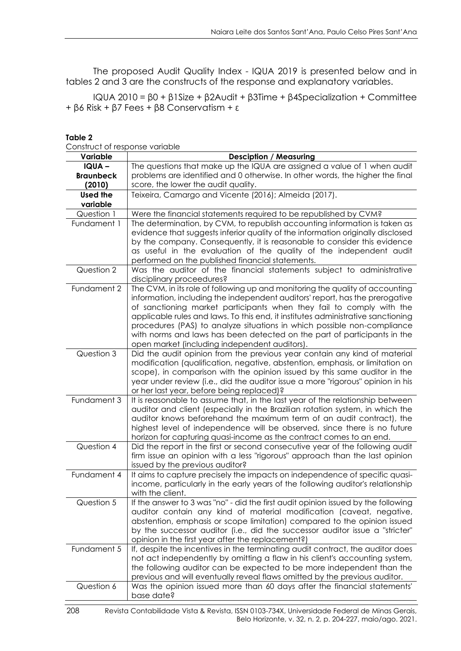The proposed Audit Quality Index - IQUA 2019 is presented below and in tables 2 and 3 are the constructs of the response and explanatory variables.

IQUA 2010 = β0 + β1Size + β2Audit + β3Time + β4Specialization + Committee + β6 Risk + β7 Fees + β8 Conservatism + ε

| sonun vertogen i vanapid<br>Variable | <b>Desciption / Measuring</b>                                                                                              |
|--------------------------------------|----------------------------------------------------------------------------------------------------------------------------|
| <b>IQUA-</b>                         | The questions that make up the IQUA are assigned a value of 1 when audit                                                   |
| <b>Braunbeck</b>                     | problems are identified and 0 otherwise. In other words, the higher the final                                              |
| (2010)                               | score, the lower the audit quality.                                                                                        |
| <b>Used the</b><br>variable          | Teixeira, Camargo and Vicente (2016); Almeida (2017).                                                                      |
| Question 1                           | Were the financial statements required to be republished by CVM?                                                           |
| Fundament 1                          | The determination, by CVM, to republish accounting information is taken as                                                 |
|                                      | evidence that suggests inferior quality of the information originally disclosed                                            |
|                                      | by the company. Consequently, it is reasonable to consider this evidence                                                   |
|                                      | as useful in the evaluation of the quality of the independent audit                                                        |
|                                      | performed on the published financial statements.                                                                           |
| Question 2                           | Was the auditor of the financial statements subject to administrative                                                      |
|                                      | disciplinary proceedures?                                                                                                  |
| Fundament 2                          | The CVM, in its role of following up and monitoring the quality of accounting                                              |
|                                      | information, including the independent auditors' report, has the prerogative                                               |
|                                      | of sanctioning market participants when they fail to comply with the                                                       |
|                                      | applicable rules and laws. To this end, it institutes administrative sanctioning                                           |
|                                      | procedures (PAS) to analyze situations in which possible non-compliance                                                    |
|                                      | with norms and laws has been detected on the part of participants in the                                                   |
|                                      | open market (including independent auditors).                                                                              |
| Question 3                           | Did the audit opinion from the previous year contain any kind of material                                                  |
|                                      | modification (qualification, negative, abstention, emphasis, or limitation on                                              |
|                                      | scope), in comparison with the opinion issued by this same auditor in the                                                  |
|                                      | year under review (i.e., did the auditor issue a more "rigorous" opinion in his                                            |
| Fundament 3                          | or her last year, before being replaced)?<br>It is reasonable to assume that, in the last year of the relationship between |
|                                      | auditor and client (especially in the Brazilian rotation system, in which the                                              |
|                                      | auditor knows beforehand the maximum term of an audit contract), the                                                       |
|                                      | highest level of independence will be observed, since there is no future                                                   |
|                                      | horizon for capturing quasi-income as the contract comes to an end.                                                        |
| Question 4                           | Did the report in the first or second consecutive year of the following audit                                              |
|                                      | firm issue an opinion with a less "rigorous" approach than the last opinion                                                |
|                                      | issued by the previous auditor?                                                                                            |
| Fundament 4                          | It aims to capture precisely the impacts on independence of specific quasi-                                                |
|                                      | income, particularly in the early years of the following auditor's relationship                                            |
|                                      | with the client.                                                                                                           |
| Question 5                           | If the answer to 3 was "no" - did the first audit opinion issued by the following                                          |
|                                      | auditor contain any kind of material modification (caveat, negative,                                                       |
|                                      | abstention, emphasis or scope limitation) compared to the opinion issued                                                   |
|                                      | by the successor auditor (i.e., did the successor auditor issue a "stricter"                                               |
|                                      | opinion in the first year after the replacement?)                                                                          |
| Fundament 5                          | If, despite the incentives in the terminating audit contract, the auditor does                                             |
|                                      | not act independently by omitting a flaw in his client's accounting system,                                                |
|                                      | the following auditor can be expected to be more independent than the                                                      |
|                                      | previous and will eventually reveal flaws omitted by the previous auditor.                                                 |
| Question 6                           | Was the opinion issued more than 60 days after the financial statements'                                                   |
|                                      | base date?                                                                                                                 |

**Table 2**

Construct of response variable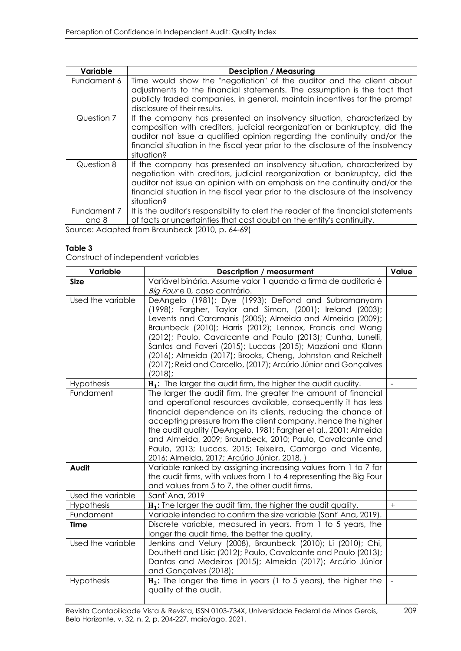| Variable    | <b>Desciption / Measuring</b>                                                                                                                                                                                                                                                                                                        |
|-------------|--------------------------------------------------------------------------------------------------------------------------------------------------------------------------------------------------------------------------------------------------------------------------------------------------------------------------------------|
| Fundament 6 | Time would show the "negotiation" of the auditor and the client about<br>adjustments to the financial statements. The assumption is the fact that<br>publicly traded companies, in general, maintain incentives for the prompt<br>disclosure of their results.                                                                       |
| Question 7  | If the company has presented an insolvency situation, characterized by<br>composition with creditors, judicial reorganization or bankruptcy, did the<br>auditor not issue a qualified opinion regarding the continuity and/or the<br>financial situation in the fiscal year prior to the disclosure of the insolvency<br>situation?  |
| Question 8  | If the company has presented an insolvency situation, characterized by<br>negotiation with creditors, judicial reorganization or bankruptcy, did the<br>auditor not issue an opinion with an emphasis on the continuity and/or the<br>financial situation in the fiscal year prior to the disclosure of the insolvency<br>situation? |
| Fundament 7 | It is the auditor's responsibility to alert the reader of the financial statements                                                                                                                                                                                                                                                   |
| and 8       | of facts or uncertainties that cast doubt on the entity's continuity.<br>$\blacksquare$                                                                                                                                                                                                                                              |

Source: Adapted from Braunbeck (2010, p. 64-69)

#### **Table 3**

Construct of independent variables

| Variable          | <b>Description / measurment</b>                                                                                                                                                                                                                                                                                                                                                                                                                                                                                         | Value |
|-------------------|-------------------------------------------------------------------------------------------------------------------------------------------------------------------------------------------------------------------------------------------------------------------------------------------------------------------------------------------------------------------------------------------------------------------------------------------------------------------------------------------------------------------------|-------|
| <b>Size</b>       | Variável binária. Assume valor 1 quando a firma de auditoria é                                                                                                                                                                                                                                                                                                                                                                                                                                                          |       |
|                   | Big Foure 0, caso contrário.                                                                                                                                                                                                                                                                                                                                                                                                                                                                                            |       |
| Used the variable | DeAngelo (1981); Dye (1993); DeFond and Subramanyam<br>(1998); Fargher, Taylor and Simon, (2001); Ireland (2003);<br>Levents and Caramanis (2005); Almeida and Almeida (2009);<br>Braunbeck (2010); Harris (2012); Lennox, Francis and Wang<br>(2012); Paulo, Cavalcante and Paulo (2013); Cunha, Lunelli,<br>Santos and Faveri (2015); Luccas (2015); Mazzioni and Klann<br>(2016); Almeida (2017); Brooks, Cheng, Johnston and Reichelt<br>(2017); Reid and Carcello, (2017); Arcúrio Júnior and Gonçalves<br>(2018); |       |
| Hypothesis        | H <sub>1</sub> : The larger the audit firm, the higher the audit quality.                                                                                                                                                                                                                                                                                                                                                                                                                                               |       |
| Fundament         | The larger the audit firm, the greater the amount of financial<br>and operational resources available, consequently it has less<br>financial dependence on its clients, reducing the chance of<br>accepting pressure from the client company, hence the higher<br>the audit quality (DeAngelo, 1981; Fargher et al., 2001; Almeida<br>and Almeida, 2009; Braunbeck, 2010; Paulo, Cavalcante and<br>Paulo, 2013; Luccas, 2015; Teixeira, Camargo and Vicente,<br>2016; Almeida, 2017; Arcúrio Júnior, 2018.)             |       |
| Audit             | Variable ranked by assigning increasing values from 1 to 7 for<br>the audit firms, with values from 1 to 4 representing the Big Four<br>and values from 5 to 7, the other audit firms.                                                                                                                                                                                                                                                                                                                                  |       |
| Used the variable | Sant'Ana, 2019                                                                                                                                                                                                                                                                                                                                                                                                                                                                                                          |       |
| Hypothesis        | H <sub>1</sub> : The larger the audit firm, the higher the audit quality.                                                                                                                                                                                                                                                                                                                                                                                                                                               | $+$   |
| Fundament         | Variable intended to confirm the size variable (Sant' Ana, 2019).                                                                                                                                                                                                                                                                                                                                                                                                                                                       |       |
| <b>Time</b>       | Discrete variable, measured in years. From 1 to 5 years, the<br>longer the audit time, the better the quality.                                                                                                                                                                                                                                                                                                                                                                                                          |       |
| Used the variable | Jenkins and Velury (2008), Braunbeck (2010); Li (2010); Chi,<br>Douthett and Lisic (2012); Paulo, Cavalcante and Paulo (2013);<br>Dantas and Medeiros (2015); Almeida (2017); Arcúrio Júnior<br>and Gonçalves (2018);                                                                                                                                                                                                                                                                                                   |       |
| Hypothesis        | $H_2$ : The longer the time in years (1 to 5 years), the higher the<br>quality of the audit.                                                                                                                                                                                                                                                                                                                                                                                                                            |       |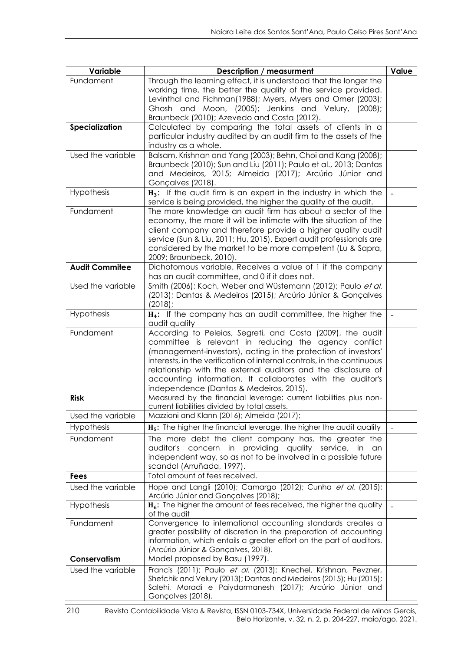| Variable              | <b>Description / measurment</b>                                                                                                                                                                                                                                                                                                                                                                                                           | Value                    |
|-----------------------|-------------------------------------------------------------------------------------------------------------------------------------------------------------------------------------------------------------------------------------------------------------------------------------------------------------------------------------------------------------------------------------------------------------------------------------------|--------------------------|
| Fundament             | Through the learning effect, it is understood that the longer the<br>working time, the better the quality of the service provided.<br>Levinthal and Fichman(1988); Myers, Myers and Omer (2003);<br>Ghosh and Moon, (2005); Jenkins and Velury, (2008);                                                                                                                                                                                   |                          |
| Specialization        | Braunbeck (2010); Azevedo and Costa (2012).<br>Calculated by comparing the total assets of clients in a                                                                                                                                                                                                                                                                                                                                   |                          |
|                       | particular industry audited by an audit firm to the assets of the<br>industry as a whole.                                                                                                                                                                                                                                                                                                                                                 |                          |
| Used the variable     | Balsam, Krishnan and Yang (2003); Behn, Choi and Kang (2008);<br>Braunbeck (2010); Sun and Liu (2011); Paulo et al., 2013; Dantas<br>and Medeiros, 2015; Almeida (2017); Arcúrio Júnior and<br>Gonçalves (2018).                                                                                                                                                                                                                          |                          |
| Hypothesis            | H <sub>3</sub> : If the audit firm is an expert in the industry in which the<br>service is being provided, the higher the quality of the audit.                                                                                                                                                                                                                                                                                           |                          |
| Fundament             | The more knowledge an audit firm has about a sector of the<br>economy, the more it will be intimate with the situation of the<br>client company and therefore provide a higher quality audit<br>service (Sun & Liu, 2011; Hu, 2015). Expert audit professionals are<br>considered by the market to be more competent (Lu & Sapra,<br>2009; Braunbeck, 2010).                                                                              |                          |
| <b>Audit Commitee</b> | Dichotomous variable. Receives a value of 1 if the company<br>has an audit committee, and 0 if it does not.                                                                                                                                                                                                                                                                                                                               |                          |
| Used the variable     | Smith (2006); Koch, Weber and Wüstemann (2012); Paulo et al.<br>(2013); Dantas & Medeiros (2015); Arcúrio Júnior & Gonçalves<br>(2018);                                                                                                                                                                                                                                                                                                   |                          |
| Hypothesis            | H <sub>4</sub> : If the company has an audit committee, the higher the<br>audit quality                                                                                                                                                                                                                                                                                                                                                   | $\overline{\phantom{0}}$ |
| Fundament             | According to Peleias, Segreti, and Costa (2009), the audit<br>committee is relevant in reducing the agency conflict<br>(management-investors), acting in the protection of investors'<br>interests, in the verification of internal controls, in the continuous<br>relationship with the external auditors and the disclosure of<br>accounting information. It collaborates with the auditor's<br>independence (Dantas & Medeiros, 2015). |                          |
| <b>Risk</b>           | Measured by the financial leverage: current liabilities plus non-<br>current liabilities divided by total assets.                                                                                                                                                                                                                                                                                                                         |                          |
| Used the variable     | Mazzioni and Klann (2016); Almeida (2017);                                                                                                                                                                                                                                                                                                                                                                                                |                          |
| Hypothesis            | H <sub>5</sub> : The higher the financial leverage, the higher the audit quality                                                                                                                                                                                                                                                                                                                                                          |                          |
| Fundament             | The more debt the client company has, the greater the<br>auditor's concern in providing<br>quality<br>service, in<br>an<br>independent way, so as not to be involved in a possible future<br>scandal (Arruñada, 1997).                                                                                                                                                                                                                    |                          |
| <b>Fees</b>           | Total amount of fees received.                                                                                                                                                                                                                                                                                                                                                                                                            |                          |
| Used the variable     | Hope and Langli (2010); Camargo (2012); Cunha et al. (2015);<br>Arcúrio Júnior and Gonçalves (2018);                                                                                                                                                                                                                                                                                                                                      |                          |
| <b>Hypothesis</b>     | $H_6$ : The higher the amount of fees received, the higher the quality<br>of the audit                                                                                                                                                                                                                                                                                                                                                    | $\overline{a}$           |
| Fundament             | Convergence to international accounting standards creates a<br>greater possibility of discretion in the preparation of accounting<br>information, which entails a greater effort on the part of auditors.<br>(Arcúrio Júnior & Gonçalves, 2018).                                                                                                                                                                                          |                          |
| Conservatism          | Model proposed by Basu (1997).                                                                                                                                                                                                                                                                                                                                                                                                            |                          |
| Used the variable     | Francis (2011); Paulo et al. (2013); Knechel, Krishnan, Pevzner,<br>Shefchik and Velury (2013); Dantas and Medeiros (2015); Hu (2015);<br>Salehi, Moradi e Paiydarmanesh (2017); Arcúrio Júnior and<br>Gonçalves (2018).                                                                                                                                                                                                                  |                          |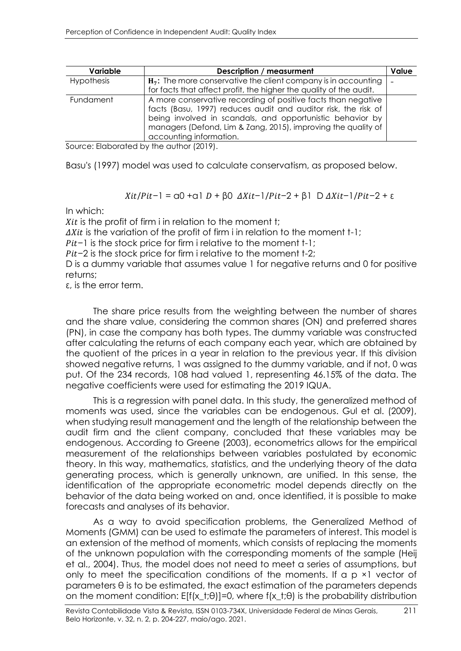| Variable          | <b>Description / measurment</b>                                                                                                                                                                                                                                                          | Value |
|-------------------|------------------------------------------------------------------------------------------------------------------------------------------------------------------------------------------------------------------------------------------------------------------------------------------|-------|
| <b>Hypothesis</b> | $H_7$ : The more conservative the client company is in accounting<br>for facts that affect profit, the higher the quality of the audit.                                                                                                                                                  |       |
| Fundament         | A more conservative recording of positive facts than negative<br>facts (Basu, 1997) reduces audit and auditor risk, the risk of<br>being involved in scandals, and opportunistic behavior by<br>managers (Defond, Lim & Zang, 2015), improving the quality of<br>accounting information. |       |

Source: Elaborated by the author (2019).

Basu's (1997) model was used to calculate conservatism, as proposed below.

 $Xit/Pit-1 = \alpha 0 + \alpha 1 D + \beta 0$   $\Delta Xit-1/Pit-2 + \beta 1 D \Delta Xit-1/Pit-2 + \epsilon$ 

In which:

 $Xit$  is the profit of firm i in relation to the moment t;  $\Delta X$ it is the variation of the profit of firm i in relation to the moment t-1;  $Pit-1$  is the stock price for firm i relative to the moment t-1;  $Pit-2$  is the stock price for firm i relative to the moment t-2; D is a dummy variable that assumes value 1 for negative returns and 0 for positive returns;

ε, is the error term.

The share price results from the weighting between the number of shares and the share value, considering the common shares (ON) and preferred shares (PN), in case the company has both types. The dummy variable was constructed after calculating the returns of each company each year, which are obtained by the quotient of the prices in a year in relation to the previous year. If this division showed negative returns, 1 was assigned to the dummy variable, and if not, 0 was put. Of the 234 records, 108 had valued 1, representing 46.15% of the data. The negative coefficients were used for estimating the 2019 IQUA.

This is a regression with panel data. In this study, the generalized method of moments was used, since the variables can be endogenous. Gul et al. (2009), when studying result management and the length of the relationship between the audit firm and the client company, concluded that these variables may be endogenous. According to Greene (2003), econometrics allows for the empirical measurement of the relationships between variables postulated by economic theory. In this way, mathematics, statistics, and the underlying theory of the data generating process, which is generally unknown, are unified. In this sense, the identification of the appropriate econometric model depends directly on the behavior of the data being worked on and, once identified, it is possible to make forecasts and analyses of its behavior.

As a way to avoid specification problems, the Generalized Method of Moments (GMM) can be used to estimate the parameters of interest. This model is an extension of the method of moments, which consists of replacing the moments of the unknown population with the corresponding moments of the sample (Heij et al., 2004). Thus, the model does not need to meet a series of assumptions, but only to meet the specification conditions of the moments. If a p ×1 vector of parameters θ is to be estimated, the exact estimation of the parameters depends on the moment condition:  $E[f(x_t;\theta)]=0$ , where  $f(x_t;\theta)$  is the probability distribution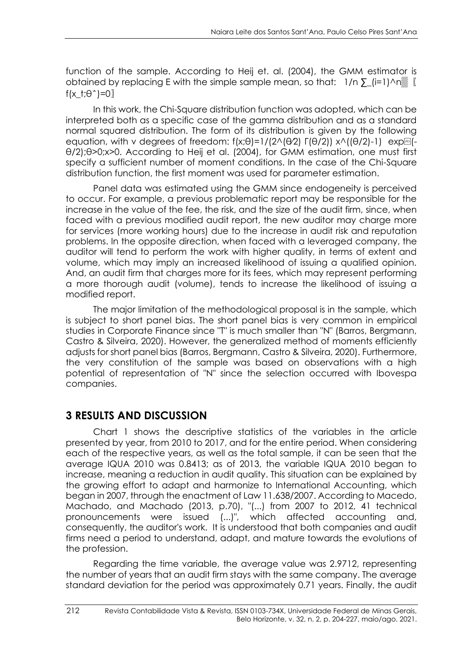function of the sample. According to Heij et. al. (2004), the GMM estimator is obtained by replacing E with the simple sample mean, so that:  $1/n \sum (i=1) \wedge n$ f(x t; $\theta$ <sup> $\hat{}$ </sup>)=0

In this work, the Chi-Square distribution function was adopted, which can be interpreted both as a specific case of the gamma distribution and as a standard normal squared distribution. The form of its distribution is given by the following equation, with v degrees of freedom:  $f(x;\theta)=1/(2\wedge(\theta/2) \Gamma(\theta/2)) x\wedge((\theta/2)-1)$  exp... θ/2);θ>0;x>0. According to Heij et al. (2004), for GMM estimation, one must first specify a sufficient number of moment conditions. In the case of the Chi-Square distribution function, the first moment was used for parameter estimation.

Panel data was estimated using the GMM since endogeneity is perceived to occur. For example, a previous problematic report may be responsible for the increase in the value of the fee, the risk, and the size of the audit firm, since, when faced with a previous modified audit report, the new auditor may charge more for services (more working hours) due to the increase in audit risk and reputation problems. In the opposite direction, when faced with a leveraged company, the auditor will tend to perform the work with higher quality, in terms of extent and volume, which may imply an increased likelihood of issuing a qualified opinion. And, an audit firm that charges more for its fees, which may represent performing a more thorough audit (volume), tends to increase the likelihood of issuing a modified report.

The major limitation of the methodological proposal is in the sample, which is subject to short panel bias. The short panel bias is very common in empirical studies in Corporate Finance since "T" is much smaller than "N" (Barros, Bergmann, Castro & Silveira, 2020). However, the generalized method of moments efficiently adjusts for short panel bias (Barros, Bergmann, Castro & Silveira, 2020). Furthermore, the very constitution of the sample was based on observations with a high potential of representation of "N" since the selection occurred with Ibovespa companies.

## **3 RESULTS AND DISCUSSION**

Chart 1 shows the descriptive statistics of the variables in the article presented by year, from 2010 to 2017, and for the entire period. When considering each of the respective years, as well as the total sample, it can be seen that the average IQUA 2010 was 0.8413; as of 2013, the variable IQUA 2010 began to increase, meaning a reduction in audit quality. This situation can be explained by the growing effort to adapt and harmonize to International Accounting, which began in 2007, through the enactment of Law 11.638/2007. According to Macedo, Machado, and Machado (2013, p.70), "(...) from 2007 to 2012, 41 technical pronouncements were issued (...)", which affected accounting and, consequently, the auditor's work. It is understood that both companies and audit firms need a period to understand, adapt, and mature towards the evolutions of the profession.

Regarding the time variable, the average value was 2.9712, representing the number of years that an audit firm stays with the same company. The average standard deviation for the period was approximately 0.71 years. Finally, the audit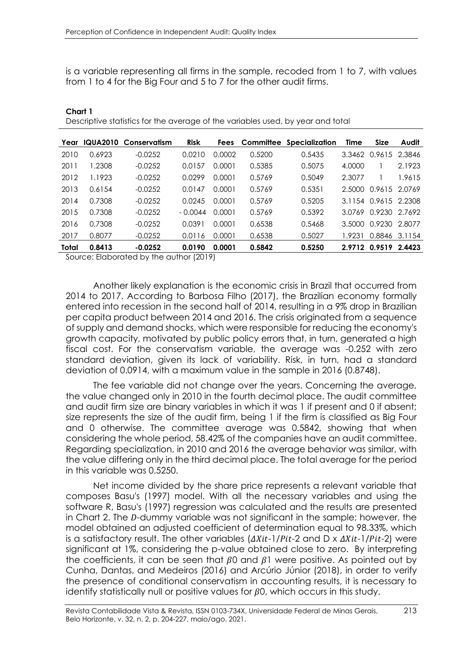is a variable representing all firms in the sample, recoded from 1 to 7, with values from 1 to 4 for the Big Four and 5 to 7 for the other audit firms.

| Year         | <b>IQUA2010</b> | Conservatism | <b>Risk</b> | <b>Fees</b> |        | <b>Committee Specialization</b> | Time   | <b>Size</b>          | Audit  |
|--------------|-----------------|--------------|-------------|-------------|--------|---------------------------------|--------|----------------------|--------|
| 2010         | 0.6923          | $-0.0252$    | 0.0210      | 0.0002      | 0.5200 | 0.5435                          | 3.3462 | 0.9615 2.3846        |        |
| 2011         | 1.2308          | $-0.0252$    | 0.0157      | 0.0001      | 0.5385 | 0.5075                          | 4.0000 |                      | 2.1923 |
| 2012         | 1.1923          | $-0.0252$    | 0.0299      | 0.0001      | 0.5769 | 0.5049                          | 2.3077 |                      | 1.9615 |
| 2013         | 0.6154          | $-0.0252$    | 0.0147      | 0.0001      | 0.5769 | 0.5351                          | 2.5000 | 0.9615 2.0769        |        |
| 2014         | 0.7308          | $-0.0252$    | 0.0245      | 0.0001      | 0.5769 | 0.5205                          |        | 3.1154 0.9615 2.2308 |        |
| 2015         | 0.7308          | $-0.0252$    | $-0.0044$   | 0.0001      | 0.5769 | 0.5392                          | 3.0769 | 0.9230 2.7692        |        |
| 2016         | 0.7308          | $-0.0252$    | 0.0391      | 0.0001      | 0.6538 | 0.5468                          | 3.5000 | 0.9230               | 2.8077 |
| 2017         | 0.8077          | $-0.0252$    | 0.0116      | 0.0001      | 0.6538 | 0.5027                          | 1.9231 | 0.8846               | 3.1154 |
| <b>Total</b> | 0.8413          | $-0.0252$    | 0.0190      | 0.0001      | 0.5842 | 0.5250                          |        | 2.9712 0.9519        | 2.4423 |

Descriptive statistics for the average of the variables used, by year and total

Source: Elaborated by the author (2019)

**Chart 1**

Another likely explanation is the economic crisis in Brazil that occurred from 2014 to 2017. According to Barbosa Filho (2017), the Brazilian economy formally entered into recession in the second half of 2014, resulting in a 9% drop in Brazilian per capita product between 2014 and 2016. The crisis originated from a sequence of supply and demand shocks, which were responsible for reducing the economy's growth capacity, motivated by public policy errors that, in turn, generated a high fiscal cost. For the conservatism variable, the average was -0.252 with zero standard deviation, given its lack of variability. Risk, in turn, had a standard deviation of 0.0914, with a maximum value in the sample in 2016 (0.8748).

The fee variable did not change over the years. Concerning the average, the value changed only in 2010 in the fourth decimal place. The audit committee and audit firm size are binary variables in which it was 1 if present and 0 if absent; size represents the size of the audit firm, being 1 if the firm is classified as Big Four and 0 otherwise. The committee average was 0.5842, showing that when considering the whole period, 58.42% of the companies have an audit committee. Regarding specialization, in 2010 and 2016 the average behavior was similar, with the value differing only in the third decimal place. The total average for the period in this variable was 0.5250.

Net income divided by the share price represents a relevant variable that composes Basu's (1997) model. With all the necessary variables and using the software R, Basu's (1997) regression was calculated and the results are presented in Chart 2. The D-dummy variable was not significant in the sample; however, the model obtained an adjusted coefficient of determination equal to 98.33%, which is a satisfactory result. The other variables  $(\Delta X it - 1/Pit - 2$  and D x  $\Delta X it - 1/Pit - 2)$  were significant at 1%, considering the p-value obtained close to zero. By interpreting the coefficients, it can be seen that  $\beta$ 0 and  $\beta$ 1 were positive. As pointed out by Cunha, Dantas, and Medeiros (2016) and Arcúrio Júnior (2018), in order to verify the presence of conditional conservatism in accounting results, it is necessary to identify statistically null or positive values for  $\beta$ 0, which occurs in this study.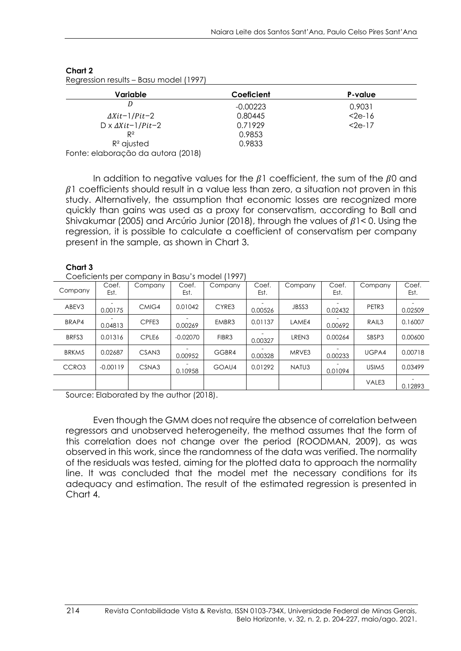| Coeficient | P-value |
|------------|---------|
| $-0.00223$ | 0.9031  |
| 0.80445    | $2e-16$ |
| 0.71929    | $2e-17$ |
| 0.9853     |         |
| 0.9833     |         |
|            |         |

#### **Chart 2**

In addition to negative values for the  $\beta$ 1 coefficient, the sum of the  $\beta$ 0 and  $\beta$ 1 coefficients should result in a value less than zero, a situation not proven in this study. Alternatively, the assumption that economic losses are recognized more quickly than gains was used as a proxy for conservatism, according to Ball and Shivakumar (2005) and Arcúrio Junior (2018), through the values of  $\beta$ 1<0. Using the regression, it is possible to calculate a coefficient of conservatism per company present in the sample, as shown in Chart 3.

#### **Chart 3**

Coeficients per company in Basu's model (1997)

| Company | Coef.<br>Est. | Company           | Coef.<br>Est. | Company | Coef.<br>Est. | Company | Coef.<br>Est. | Company           | Coef.<br>Est. |
|---------|---------------|-------------------|---------------|---------|---------------|---------|---------------|-------------------|---------------|
| ABEV3   | 0.00175       | CMIG4             | 0.01042       | CYRE3   | 0.00526       | JBSS3   | 0.02432       | PETR <sub>3</sub> | 0.02509       |
| BRAP4   | 0.04813       | CPFE3             | 0.00269       | EMBR3   | 0.01137       | LAME4   | 0.00692       | RAIL <sub>3</sub> | 0.16007       |
| BRFS3   | 0.01316       | CPLE6             | $-0.02070$    | FIBR3   | 0.00327       | LREN3   | 0.00264       | SBSP3             | 0.00600       |
| BRKM5   | 0.02687       | CSAN <sub>3</sub> | 0.00952       | GGBR4   | 0.00328       | MRVE3   | 0.00233       | UGPA4             | 0.00718       |
| CCRO3   | $-0.00119$    | CSNA3             | 0.10958       | GOAU4   | 0.01292       | NATU3   | 0.01094       | USIM <sub>5</sub> | 0.03499       |
|         |               |                   |               |         |               |         |               | VALE3             | 0.12893       |

Source: Elaborated by the author (2018).

Even though the GMM does not require the absence of correlation between regressors and unobserved heterogeneity, the method assumes that the form of this correlation does not change over the period (ROODMAN, 2009), as was observed in this work, since the randomness of the data was verified. The normality of the residuals was tested, aiming for the plotted data to approach the normality line. It was concluded that the model met the necessary conditions for its adequacy and estimation. The result of the estimated regression is presented in Chart 4.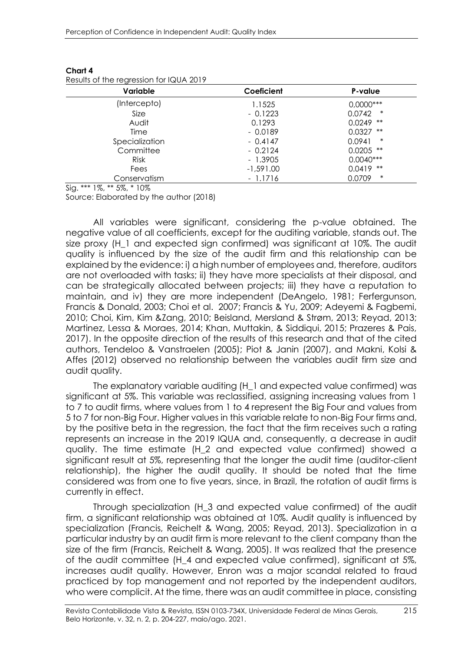| Results Of the regression for iQUA 2017 |             |                  |
|-----------------------------------------|-------------|------------------|
| Variable                                | Coeficient  | P-value          |
| (Intercepto)                            | 1.1525      | $0,0000***$      |
| Size                                    | $-0.1223$   | *<br>0.0742      |
| Audit                                   | 0.1293      | $0.0249$ **      |
| Time                                    | $-0.0189$   | **<br>0.0327     |
| Specialization                          | $-0.4147$   | $\ast$<br>0.0941 |
| Committee                               | $-0.2124$   | $0.0205$ **      |
| <b>Risk</b>                             | - 1.3905    | $0.0040***$      |
| Fees                                    | $-1,591.00$ | $0.0419$ **      |
| Conservatism                            | - 1.1716    | $\ast$<br>0.0709 |

**Chart 4**  $F_{\alpha x}$  $\Omega$ UA 2019

Sig. \*\*\* 1%, \*\* 5%, \* 10%

Source: Elaborated by the author (2018)

All variables were significant, considering the p-value obtained. The negative value of all coefficients, except for the auditing variable, stands out. The size proxy (H\_1 and expected sign confirmed) was significant at 10%. The audit quality is influenced by the size of the audit firm and this relationship can be explained by the evidence: i) a high number of employees and, therefore, auditors are not overloaded with tasks; ii) they have more specialists at their disposal, and can be strategically allocated between projects; iii) they have a reputation to maintain, and iv) they are more independent (DeAngelo, 1981; Ferfergunson, Francis & Donald, 2003; Choi et al. 2007; Francis & Yu, 2009; Adeyemi & Fagbemi, 2010; Choi, Kim, Kim &Zang, 2010; Beisland, Mersland & Strøm, 2013; Reyad, 2013; Martinez, Lessa & Moraes, 2014; Khan, Muttakin, & Siddiqui, 2015; Prazeres & Pais, 2017). In the opposite direction of the results of this research and that of the cited authors, Tendeloo & Vanstraelen (2005); Piot & Janin (2007), and Makni, Kolsi & Affes (2012) observed no relationship between the variables audit firm size and audit quality.

The explanatory variable auditing (H\_1 and expected value confirmed) was significant at 5%. This variable was reclassified, assigning increasing values from 1 to 7 to audit firms, where values from 1 to 4 represent the Big Four and values from 5 to 7 for non-Big Four. Higher values in this variable relate to non-Big Four firms and, by the positive beta in the regression, the fact that the firm receives such a rating represents an increase in the 2019 IQUA and, consequently, a decrease in audit quality. The time estimate (H\_2 and expected value confirmed) showed a significant result at 5%, representing that the longer the audit time (auditor-client relationship), the higher the audit quality. It should be noted that the time considered was from one to five years, since, in Brazil, the rotation of audit firms is currently in effect.

Through specialization (H\_3 and expected value confirmed) of the audit firm, a significant relationship was obtained at 10%. Audit quality is influenced by specialization (Francis, Reichelt & Wang, 2005; Reyad, 2013). Specialization in a particular industry by an audit firm is more relevant to the client company than the size of the firm (Francis, Reichelt & Wang, 2005). It was realized that the presence of the audit committee (H\_4 and expected value confirmed), significant at 5%, increases audit quality. However, Enron was a major scandal related to fraud practiced by top management and not reported by the independent auditors, who were complicit. At the time, there was an audit committee in place, consisting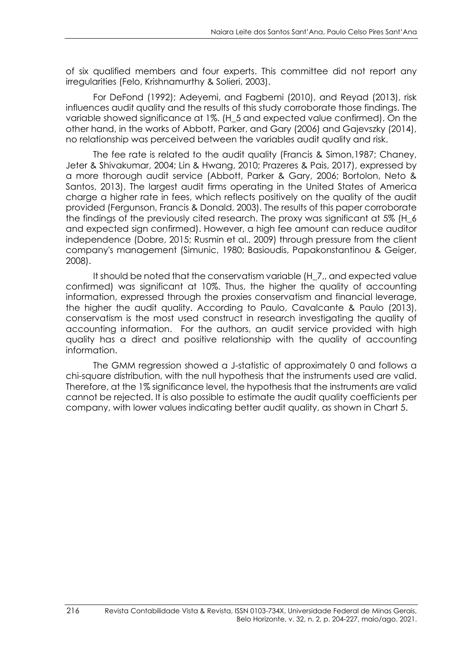of six qualified members and four experts. This committee did not report any irregularities (Felo, Krishnamurthy & Solieri, 2003).

For DeFond (1992); Adeyemi, and Fagbemi (2010), and Reyad (2013), risk influences audit quality and the results of this study corroborate those findings. The variable showed significance at 1%. (H\_5 and expected value confirmed). On the other hand, in the works of Abbott, Parker, and Gary (2006) and Gajevszky (2014), no relationship was perceived between the variables audit quality and risk.

The fee rate is related to the audit quality (Francis & Simon,1987; Chaney, Jeter & Shivakumar, 2004; Lin & Hwang, 2010; Prazeres & Pais, 2017), expressed by a more thorough audit service (Abbott, Parker & Gary, 2006; Bortolon, Neto & Santos, 2013). The largest audit firms operating in the United States of America charge a higher rate in fees, which reflects positively on the quality of the audit provided (Fergunson, Francis & Donald, 2003). The results of this paper corroborate the findings of the previously cited research. The proxy was significant at 5% (H\_6 and expected sign confirmed). However, a high fee amount can reduce auditor independence (Dobre, 2015; Rusmin et al., 2009) through pressure from the client company's management (Simunic, 1980; Basioudis, Papakonstantinou & Geiger, 2008).

It should be noted that the conservatism variable (H\_7,, and expected value confirmed) was significant at 10%. Thus, the higher the quality of accounting information, expressed through the proxies conservatism and financial leverage, the higher the audit quality. According to Paulo, Cavalcante & Paulo (2013), conservatism is the most used construct in research investigating the quality of accounting information. For the authors, an audit service provided with high quality has a direct and positive relationship with the quality of accounting information.

The GMM regression showed a J-statistic of approximately 0 and follows a chi-square distribution, with the null hypothesis that the instruments used are valid. Therefore, at the 1% significance level, the hypothesis that the instruments are valid cannot be rejected. It is also possible to estimate the audit quality coefficients per company, with lower values indicating better audit quality, as shown in Chart 5.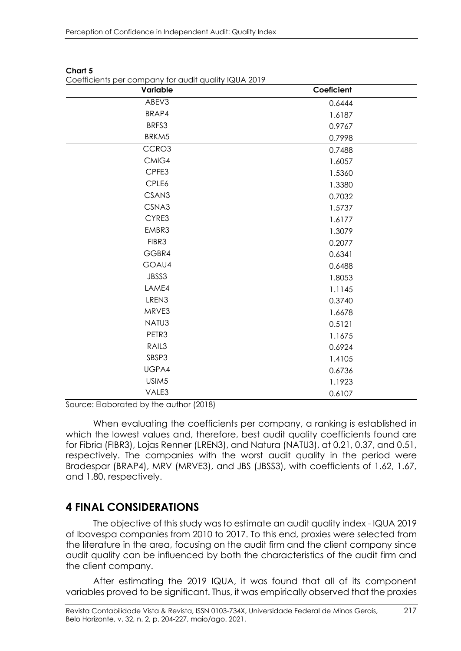| Variable          | Coeficient |
|-------------------|------------|
| ABEV3             | 0.6444     |
| BRAP4             | 1.6187     |
| BRFS3             | 0.9767     |
| BRKM5             | 0.7998     |
| CCRO3             | 0.7488     |
| CMIG4             | 1.6057     |
| CPFE3             | 1.5360     |
| CPLE6             | 1.3380     |
| CSAN3             | 0.7032     |
| CSNA3             | 1.5737     |
| CYRE3             | 1.6177     |
| EMBR3             | 1.3079     |
| FIBR3             | 0.2077     |
| GGBR4             | 0.6341     |
| GOAU4             | 0.6488     |
| JBSS3             | 1.8053     |
| LAME4             | 1.1145     |
| LREN3             | 0.3740     |
| MRVE3             | 1.6678     |
| NATU3             | 0.5121     |
| PETR3             | 1.1675     |
| RAIL3             | 0.6924     |
| SBSP3             | 1.4105     |
| UGPA4             | 0.6736     |
| USIM <sub>5</sub> | 1.1923     |
| VALE3             | 0.6107     |

#### **Chart 5**

Coefficients per company for audit quality IQUA 2019

Source: Elaborated by the author (2018)

When evaluating the coefficients per company, a ranking is established in which the lowest values and, therefore, best audit quality coefficients found are for Fibria (FIBR3), Lojas Renner (LREN3), and Natura (NATU3), at 0.21, 0.37, and 0.51, respectively. The companies with the worst audit quality in the period were Bradespar (BRAP4), MRV (MRVE3), and JBS (JBSS3), with coefficients of 1.62, 1.67, and 1.80, respectively.

### **4 FINAL CONSIDERATIONS**

The objective of this study was to estimate an audit quality index - IQUA 2019 of Ibovespa companies from 2010 to 2017. To this end, proxies were selected from the literature in the area, focusing on the audit firm and the client company since audit quality can be influenced by both the characteristics of the audit firm and the client company.

After estimating the 2019 IQUA, it was found that all of its component variables proved to be significant. Thus, it was empirically observed that the proxies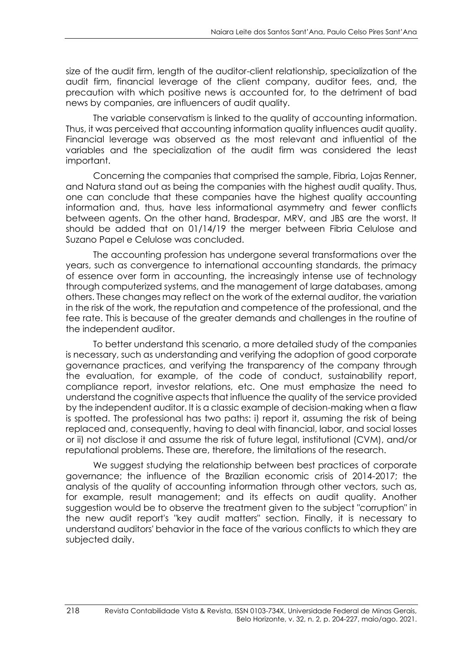size of the audit firm, length of the auditor-client relationship, specialization of the audit firm, financial leverage of the client company, auditor fees, and, the precaution with which positive news is accounted for, to the detriment of bad news by companies, are influencers of audit quality.

The variable conservatism is linked to the quality of accounting information. Thus, it was perceived that accounting information quality influences audit quality. Financial leverage was observed as the most relevant and influential of the variables and the specialization of the audit firm was considered the least important.

Concerning the companies that comprised the sample, Fibria, Lojas Renner, and Natura stand out as being the companies with the highest audit quality. Thus, one can conclude that these companies have the highest quality accounting information and, thus, have less informational asymmetry and fewer conflicts between agents. On the other hand, Bradespar, MRV, and JBS are the worst. It should be added that on 01/14/19 the merger between Fibria Celulose and Suzano Papel e Celulose was concluded.

The accounting profession has undergone several transformations over the years, such as convergence to international accounting standards, the primacy of essence over form in accounting, the increasingly intense use of technology through computerized systems, and the management of large databases, among others. These changes may reflect on the work of the external auditor, the variation in the risk of the work, the reputation and competence of the professional, and the fee rate. This is because of the greater demands and challenges in the routine of the independent auditor.

To better understand this scenario, a more detailed study of the companies is necessary, such as understanding and verifying the adoption of good corporate governance practices, and verifying the transparency of the company through the evaluation, for example, of the code of conduct, sustainability report, compliance report, investor relations, etc. One must emphasize the need to understand the cognitive aspects that influence the quality of the service provided by the independent auditor. It is a classic example of decision-making when a flaw is spotted. The professional has two paths: i) report it, assuming the risk of being replaced and, consequently, having to deal with financial, labor, and social losses or ii) not disclose it and assume the risk of future legal, institutional (CVM), and/or reputational problems. These are, therefore, the limitations of the research.

We suggest studying the relationship between best practices of corporate governance; the influence of the Brazilian economic crisis of 2014-2017; the analysis of the quality of accounting information through other vectors, such as, for example, result management; and its effects on audit quality. Another suggestion would be to observe the treatment given to the subject "corruption" in the new audit report's "key audit matters" section. Finally, it is necessary to understand auditors' behavior in the face of the various conflicts to which they are subjected daily.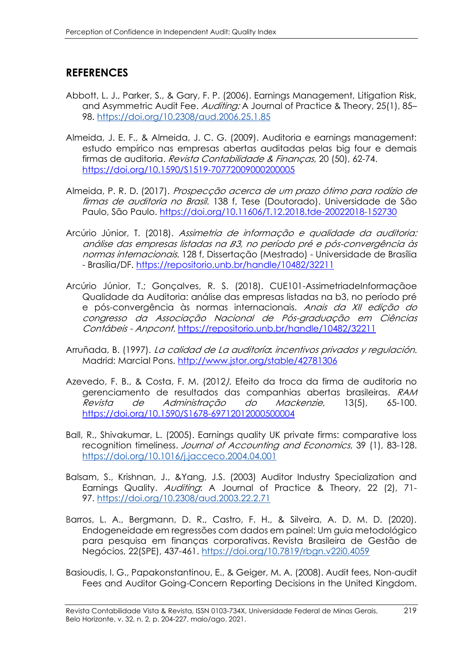# **REFERENCES**

- Abbott, L. J., Parker, S., & Gary, F. P. (2006). Earnings Management, Litigation Risk, and Asymmetric Audit Fee. Auditing: A Journal of Practice & Theory, 25(1), 85– 98.<https://doi.org/10.2308/aud.2006.25.1.85>
- Almeida, J. E. F., & Almeida, J. C. G. (2009). Auditoria e earnings management: estudo empírico nas empresas abertas auditadas pelas big four e demais firmas de auditoria. Revista Contabilidade & Finanças, 20 (50), 62-74. <https://doi.org/10.1590/S1519-70772009000200005>
- Almeida, P. R. D. (2017). Prospecção acerca de um prazo ótimo para rodízio de firmas de auditoria no Brasil. 138 f, Tese (Doutorado). Universidade de São Paulo, São Paulo. https://doi.org/10.11606/T.12.2018.tde-20022018-152730
- Arcúrio Júnior, T. (2018). Assimetria de informação e qualidade da auditoria: análise das empresas listadas na 3, no período pré e pós-convergência às normas internacionais. 128 f, Dissertação (Mestrado) - Universidade de Brasília - Brasília/DF. https://repositorio.unb.br/handle/10482/32211
- Arcúrio Júnior, T.; Gonçalves, R. S. (2018). CUE101-AssimetriadeInformaçãoe Qualidade da Auditoria: análise das empresas listadas na b3, no período pré e pós-convergência às normas internacionais. Anais da XII edição do congresso da Associação Nacional de Pós-graduação em Ciências Contábeis - Anpcont. https://repositorio.unb.br/handle/10482/32211
- Arruñada, B. (1997). La calidad de La auditoría**:** incentivos privados y regulación. Madrid: Marcial Pons. http://www.jstor.org/stable/42781306
- Azevedo, F. B., & Costa, F. M. (2012). Efeito da troca da firma de auditoria no gerenciamento de resultados das companhias abertas brasileiras. RAM Revista de Administração do Mackenzie, 13(5), 65-100. <https://doi.org/10.1590/S1678-69712012000500004>
- Ball, R., Shivakumar, L. (2005). Earnings quality UK private firms: comparative loss recognition timeliness. Journal of Accounting and Economics, 39 (1), 83-128. <https://doi.org/10.1016/j.jacceco.2004.04.001>
- Balsam, S., Krishnan, J., &Yang, J.S. (2003) Auditor Industry Specialization and Earnings Quality. Auditing: A Journal of Practice & Theory, 22 (2), 71-97. https://doi.org/10.2308/aud.2003.22.2.71
- Barros, L. A., Bergmann, D. R., Castro, F. H., & Silveira, A. D. M. D. (2020). Endogeneidade em regressões com dados em painel: Um guia metodológico para pesquisa em finanças corporativas. Revista Brasileira de Gestão de Negócios, 22(SPE), 437-461. https://doi.org/10.7819/rbgn.v22i0.4059
- Basioudis, I. G., Papakonstantinou, E., & Geiger, M. A. (2008). Audit fees, Non-audit Fees and Auditor Going-Concern Reporting Decisions in the United Kingdom.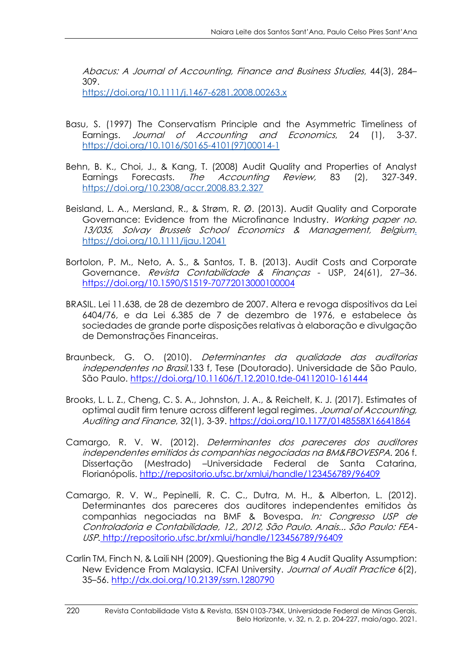Abacus: A Journal of Accounting, Finance and Business Studies, 44(3), 284– 309.

<https://doi.org/10.1111/j.1467-6281.2008.00263.x>

- Basu, S. (1997) The Conservatism Principle and the Asymmetric Timeliness of Earnings. Journal of Accounting and Economics, 24 (1), 3-37. https://doi.org/10.1016/S0165-4101(97)00014-1
- Behn, B. K., Choi, J., & Kang, T. (2008) Audit Quality and Properties of Analyst Earnings Forecasts. The Accounting Review, 83 (2), 327-349. <https://doi.org/10.2308/accr.2008.83.2.327>
- Beisland, L. A., Mersland, R., & Strøm, R. Ø. (2013). Audit Quality and Corporate Governance: Evidence from the Microfinance Industry. Working paper no. 13/035, Solvay Brussels School Economics & Management, Belgium. https://doi.org/10.1111/ijau.12041
- Bortolon, P. M., Neto, A. S., & Santos, T. B. (2013). Audit Costs and Corporate Governance. Revista Contabilidade & Finanças - USP, 24(61), 27–36. <https://doi.org/10.1590/S1519-70772013000100004>
- BRASIL. Lei 11.638, de 28 de dezembro de 2007. Altera e revoga dispositivos da Lei 6404/76, e da Lei 6.385 de 7 de dezembro de 1976, e estabelece às sociedades de grande porte disposições relativas à elaboração e divulgação de Demonstrações Financeiras.
- Braunbeck, G. O. (2010). Determinantes da qualidade das auditorias independentes no Brasil.133 f, Tese (Doutorado). Universidade de São Paulo, São Paulo. https://doi.org/10.11606/T.12.2010.tde-04112010-161444
- Brooks, L. L. Z., Cheng, C. S. A., Johnston, J. A., & Reichelt, K. J. (2017). Estimates of optimal audit firm tenure across different legal regimes. Journal of Accounting, Auditing and Finance, 32(1), 3-39. [https://doi.org/10.1177/0148558X16641864](https://doi.org/10.1177%2F0148558X16641864)
- Camargo, R. V. W. (2012). Determinantes dos pareceres dos auditores independentes emitidos às companhias negociadas na BM&FBOVESPA. 206 f. Dissertação (Mestrado) –Universidade Federal de Santa Catarina, Florianópolis.<http://repositorio.ufsc.br/xmlui/handle/123456789/96409>
- Camargo, R. V. W., Pepinelli, R. C. C., Dutra, M. H., & Alberton, L. (2012). Determinantes dos pareceres dos auditores independentes emitidos às companhias negociadas na BMF & Bovespa. In: Congresso USP de Controladoria e Contabilidade, 12., 2012, São Paulo. Anais... São Paulo: FEA-USP. http://repositorio.ufsc.br/xmlui/handle/123456789/96409
- Carlin TM, Finch N, & Laili NH (2009). Questioning the Big 4 Audit Quality Assumption: New Evidence From Malaysia. ICFAI University. Journal of Audit Practice 6(2), 35–56. [http://dx.doi.org/10.2139/ssrn.1280790](https://dx.doi.org/10.2139/ssrn.1280790)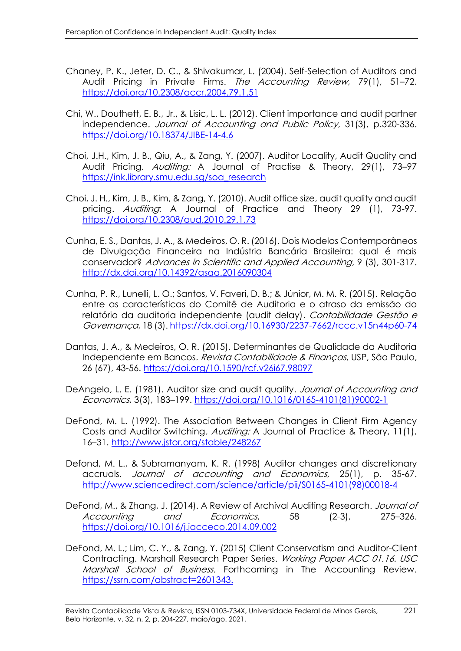- Chaney, P. K., Jeter, D. C., & Shivakumar, L. (2004). Self-Selection of Auditors and Audit Pricing in Private Firms. The Accounting Review, 79(1), 51-72. <https://doi.org/10.2308/accr.2004.79.1.51>
- Chi, W., Douthett, E. B., Jr., & Lisic, L. L. (2012). Client importance and audit partner independence. Journal of Accounting and Public Policy, 31(3), p.320-336. https://doi.org[/10.18374/JIBE-14-4.6](http://dx.doi.org/10.18374/JIBE-14-4.6)
- Choi, J.H., Kim, J. B., Qiu, A., & Zang, Y. (2007). Auditor Locality, Audit Quality and Audit Pricing. Auditing: A Journal of Practise & Theory, 29(1), 73–97 https://ink.library.smu.edu.sg/soa\_research
- Choi, J. H., Kim, J. B., Kim, & Zang, Y. (2010). Audit office size, audit quality and audit pricing. Auditing: A Journal of Practice and Theory 29 (1), 73-97. <https://doi.org/10.2308/aud.2010.29.1.73>
- Cunha, E. S., Dantas, J. A., & Medeiros, O. R. (2016). Dois Modelos Contemporâneos de Divulgação Financeira na Indústria Bancária Brasileira: qual é mais conservador? Advances in Scientific and Applied Accounting, 9 (3), 301-317. http://dx.doi.org/10.14392/asaa.2016090304
- Cunha, P. R., Lunelli, L. O.; Santos, V. Faveri, D. B.; & Júnior, M. M. R. (2015). Relação entre as características do Comitê de Auditoria e o atraso da emissão do relatório da auditoria independente (audit delay). Contabilidade Gestão e Governança, 18 (3). https://dx.doi.org/10.16930/2237-7662/rccc.v15n44p60-74
- Dantas, J. A., & Medeiros, O. R. (2015). Determinantes de Qualidade da Auditoria Independente em Bancos. Revista Contabilidade & Finanças, USP, São Paulo, 26 (67), 43-56.<https://doi.org/10.1590/rcf.v26i67.98097>
- DeAngelo, L. E. (1981). Auditor size and audit quality. Journal of Accounting and Economics, 3(3), 183–199. https://doi.org/10.1016/0165-4101(81)90002-1
- DeFond, M. L. (1992). The Association Between Changes in Client Firm Agency Costs and Auditor Switching. Auditing: A Journal of Practice & Theory, 11(1), 16–31. http://www.jstor.org/stable/248267
- Defond, M. L., & Subramanyam, K. R. (1998) Auditor changes and discretionary accruals. Journal of accounting and Economics, 25(1), p. 35-67. [http://www.sciencedirect.com/science/article/pii/S0165-4101\(98\)00018-4](https://econpapers.repec.org/scripts/redir.pf?u=http%3A%2F%2Fwww.sciencedirect.com%2Fscience%2Farticle%2Fpii%2FS0165-4101%2898%2900018-4;h=repec:eee:jaecon:v:25:y:1998:i:1:p:35-67)
- DeFond, M., & Zhang, J. (2014). A Review of Archival Auditing Research. Journal of Accounting and Economics, 58 (2-3), 275–326. <https://doi.org/10.1016/j.jacceco.2014.09.002>
- DeFond, M. L.; Lim, C. Y., & Zang, Y. (2015) Client Conservatism and Auditor-Client Contracting. Marshall Research Paper Series. Working Paper ACC 01.16. USC Marshall School of Business. Forthcoming in The Accounting Review. [https://ssrn.com/abstract=2601343.](https://ssrn.com/abstract=2601343)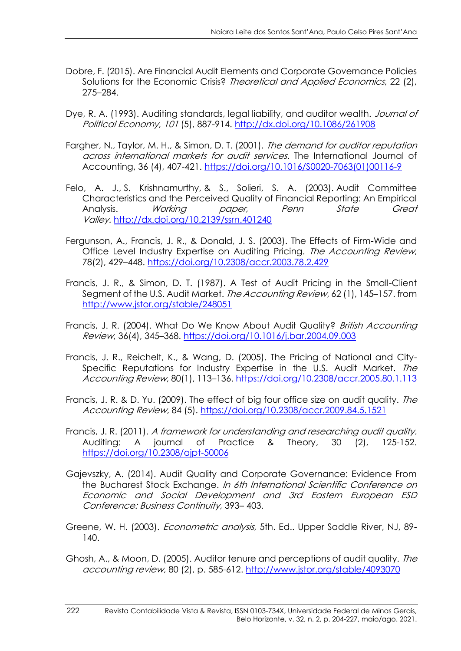- Dobre, F. (2015). Are Financial Audit Elements and Corporate Governance Policies Solutions for the Economic Crisis? Theoretical and Applied Economics, 22 (2), 275–284.
- Dye, R. A. (1993). Auditing standards, legal liability, and auditor wealth. *Journal of* Political Economy, 101 (5), 887-914. [http://dx.doi.org/10.1086/261908](https://econpapers.repec.org/scripts/redir.pf?u=http%3A%2F%2Fdx.doi.org%2F10.1086%2F261908;h=repec:ucp:jpolec:v:101:y:1993:i:5:p:887-914)
- Fargher, N., Taylor, M. H., & Simon, D. T. (2001). The demand for auditor reputation across international markets for audit services. The International Journal of Accounting, 36 (4), 407-421. https://doi.org[/10.1016/S0020-7063\(01\)00116-9](http://dx.doi.org/10.1016/S0020-7063(01)00116-9)
- Felo, A. J., S. Krishnamurthy, & S., Solieri, S. A. (2003). Audit Committee Characteristics and the Perceived Quality of Financial Reporting: An Empirical Analysis. Working paper, Penn State Great Valley. [http://dx.doi.org/10.2139/ssrn.401240](https://dx.doi.org/10.2139/ssrn.401240)
- Fergunson, A., Francis, J. R., & Donald, J. S. (2003). The Effects of Firm-Wide and Office Level Industry Expertise on Auditing Pricing. The Accounting Review, 78(2), 429–448.<https://doi.org/10.2308/accr.2003.78.2.429>
- Francis, J. R., & Simon, D. T. (1987). A Test of Audit Pricing in the Small-Client Segment of the U.S. Audit Market. The Accounting Review, 62 (1), 145–157. from http://www.jstor.org/stable/248051
- Francis, J. R. (2004). What Do We Know About Audit Quality? British Accounting Review, 36(4), 345–368.<https://doi.org/10.1016/j.bar.2004.09.003>
- Francis, J. R., Reichelt, K., & Wang, D. (2005). The Pricing of National and City-Specific Reputations for Industry Expertise in the U.S. Audit Market. The Accounting Review, 80(1), 113–136.<https://doi.org/10.2308/accr.2005.80.1.113>
- Francis, J. R. & D. Yu. (2009). The effect of big four office size on audit quality. The Accounting Review, 84 (5).<https://doi.org/10.2308/accr.2009.84.5.1521>
- Francis, J. R. (2011). A framework for understanding and researching audit quality. Auditing: A journal of Practice & Theory, 30 (2), 125-152. <https://doi.org/10.2308/ajpt-50006>
- Gajevszky, A. (2014). Audit Quality and Corporate Governance: Evidence From the Bucharest Stock Exchange. In 6th International Scientific Conference on Economic and Social Development and 3rd Eastern European ESD Conference: Business Continuity, 393– 403.
- Greene, W. H. (2003). *Econometric analysis*, 5th. Ed.. Upper Saddle River, NJ, 89-140.
- Ghosh, A., & Moon, D. (2005). Auditor tenure and perceptions of audit quality. The accounting review, 80 (2), p. 585-612. http://www.jstor.org/stable/4093070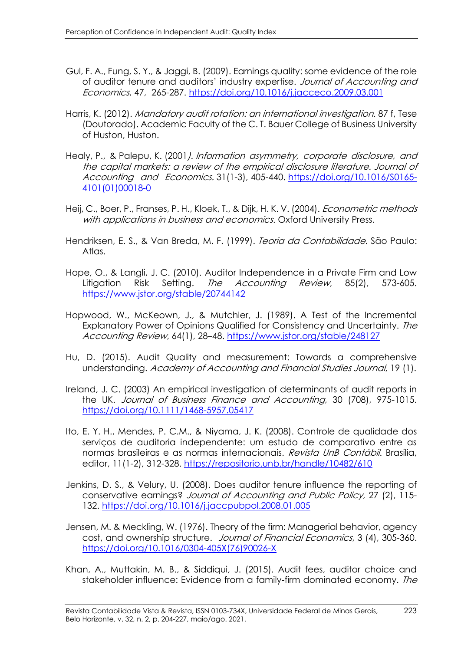- Gul, F. A., Fung, S. Y., & Jaggi, B. (2009). Earnings quality: some evidence of the role of auditor tenure and auditors' industry expertise. Journal of Accounting and Economics, 47, 265-287.<https://doi.org/10.1016/j.jacceco.2009.03.001>
- Harris, K. (2012). Mandatory audit rotation: an international investigation. 87 f, Tese (Doutorado). Academic Faculty of the C. T. Bauer College of Business University of Huston, Huston.
- Healy, P., & Palepu, K. (2001). Information asymmetry, corporate disclosure, and the capital markets: a review of the empirical disclosure literature. Journal of Accounting and Economics. 31(1-3), 405-440. [https://doi.org/10.1016/S0165-](https://doi.org/10.1016/S0165-4101(01)00018-0) [4101\(01\)00018-0](https://doi.org/10.1016/S0165-4101(01)00018-0)
- Heij, C., Boer, P., Franses, P. H., Kloek, T., & Dijk, H. K. V. (2004). *Econometric methods* with applications in business and economics. Oxford University Press.
- Hendriksen, E. S., & Van Breda, M. F. (1999). Teoria da Contabilidade. São Paulo: Atlas.
- Hope, O., & Langli, J. C. (2010). Auditor Independence in a Private Firm and Low Litigation Risk Setting. The Accounting Review, 85(2), 573-605. https://www.jstor.org/stable/20744142
- Hopwood, W., McKeown, J., & Mutchler, J. (1989). A Test of the Incremental Explanatory Power of Opinions Qualified for Consistency and Uncertainty. The Accounting Review, 64(1), 28–48. https://www.jstor.org/stable/248127
- Hu, D. (2015). Audit Quality and measurement: Towards a comprehensive understanding. Academy of Accounting and Financial Studies Journal, 19 (1).
- Ireland, J. C. (2003) An empirical investigation of determinants of audit reports in the UK. Journal of Business Finance and Accounting, 30 (708), 975-1015. https://doi.org/10.1111/1468-5957.05417
- Ito, E. Y. H., Mendes, P. C.M., & Niyama, J. K. (2008). Controle de qualidade dos serviços de auditoria independente: um estudo de comparativo entre as normas brasileiras e as normas internacionais. Revista UnB Contábil. Brasília, editor, 11(1-2), 312-328. https://repositorio.unb.br/handle/10482/610
- Jenkins, D. S., & Velury, U. (2008). Does auditor tenure influence the reporting of conservative earnings? Journal of Accounting and Public Policy, 27 (2), 115- 132.<https://doi.org/10.1016/j.jaccpubpol.2008.01.005>
- Jensen, M. & Meckling, W. (1976). Theory of the firm: Managerial behavior, agency cost, and ownership structure. Journal of Financial Economics, 3 (4), 305-360. [https://doi.org/10.1016/0304-405X\(76\)90026-X](https://doi.org/10.1016/0304-405X(76)90026-X)
- Khan, A., Muttakin, M. B., & Siddiqui, J. (2015). Audit fees, auditor choice and stakeholder influence: Evidence from a family-firm dominated economy. The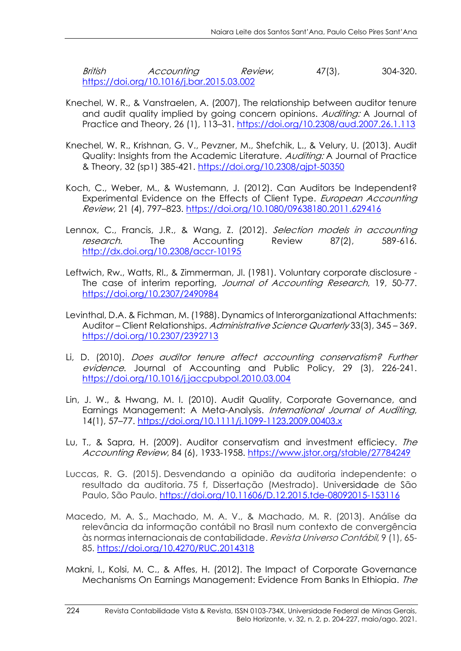British Accounting Review, 47(3), 304-320. <https://doi.org/10.1016/j.bar.2015.03.002>

- Knechel, W. R., & Vanstraelen, A. (2007), The relationship between auditor tenure and audit quality implied by going concern opinions. Auditing: A Journal of Practice and Theory, 26 (1), 113–31.<https://doi.org/10.2308/aud.2007.26.1.113>
- Knechel, W. R., Krishnan, G. V., Pevzner, M., Shefchik, L., & Velury, U. (2013). Audit Quality: Insights from the Academic Literature. Auditing: A Journal of Practice & Theory, 32 (sp1) 385-421.<https://doi.org/10.2308/ajpt-50350>
- Koch, C., Weber, M., & Wustemann, J. (2012). Can Auditors be Independent? Experimental Evidence on the Effects of Client Type. European Accounting Review, 21 (4), 797–823. https://doi.org/10.1080/09638180.2011.629416
- Lennox, C., Francis, J.R., & Wang, Z. (2012). Selection models in accounting research. The Accounting Review 87(2), 589-616. http://dx.doi.org/10.2308/accr-10195
- Leftwich, Rw., Watts, Rl., & Zimmerman, Jl. (1981). Voluntary corporate disclosure The case of interim reporting, *Journal of Accounting Research*, 19, 50-77. <https://doi.org/10.2307/2490984>
- Levinthal, D.A. & Fichman, M. (1988). Dynamics of Interorganizational Attachments: Auditor – Client Relationships. Administrative Science Quarterly 33(3), 345 – 369. <https://doi.org/10.2307/2392713>
- Li, D. (2010). Does auditor tenure affect accounting conservatism? Further evidence. Journal of Accounting and Public Policy, 29 (3), 226-241. <https://doi.org/10.1016/j.jaccpubpol.2010.03.004>
- Lin, J. W., & Hwang, M. I. (2010). Audit Quality, Corporate Governance, and Earnings Management: A Meta-Analysis. International Journal of Auditing, 14(1), 57–77. https://doi.org/10.1111/j.1099-1123.2009.00403.x
- Lu, T., & Sapra, H. (2009). Auditor conservatism and investment efficiecy. The Accounting Review, 84 (6), 1933-1958. https://www.jstor.org/stable/27784249
- Luccas, R. G. (2015). Desvendando a opinião da auditoria independente: o resultado da auditoria. 75 f, Dissertação (Mestrado). Universidade de São Paulo, São Paulo. https://doi.org/10.11606/D.12.2015.tde-08092015-153116
- Macedo, M. A. S., Machado, M. A. V., & Machado, M. R. (2013). Análise da relevância da informação contábil no Brasil num contexto de convergência às normas internacionais de contabilidade. Revista Universo Contábil, 9 (1), 65- 85. https://doi.org/10.4270/RUC.2014318
- Makni, I., Kolsi, M. C., & Affes, H. (2012). The Impact of Corporate Governance Mechanisms On Earnings Management: Evidence From Banks In Ethiopia. The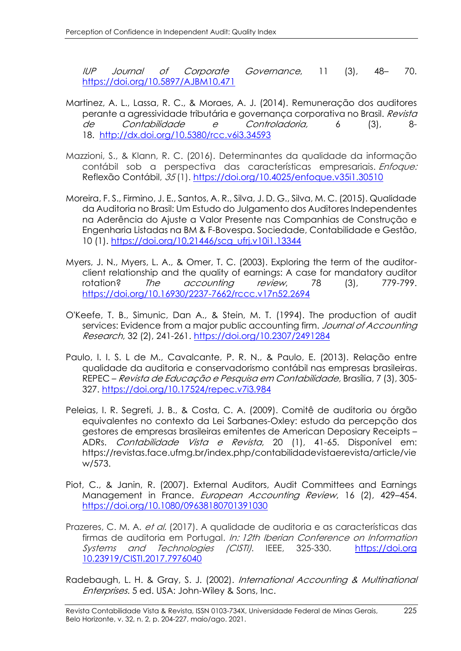IUP Journal of Corporate Governance, 11 (3), 48– 70. https://doi.org/10.5897/AJBM10.471

- Martinez, A. L., Lassa, R. C., & Moraes, A. J. (2014). Remuneração dos auditores perante a agressividade tributária e governança corporativa no Brasil. Revista de Contabilidade e Controladoria, 6 (3), 8- 18. <http://dx.doi.org/10.5380/rcc.v6i3.34593>
- Mazzioni, S., & Klann, R. C. (2016). Determinantes da qualidade da informação contábil sob a perspectiva das características empresariais. Enfoque: Reflexão Contábil, 35 (1).<https://doi.org/10.4025/enfoque.v35i1.30510>
- Moreira, F. S., Firmino, J. E., Santos, A. R., Silva, J. D. G., Silva, M. C. (2015). Qualidade da Auditoria no Brasil: Um Estudo do Julgamento dos Auditores Independentes na Aderência do Ajuste a Valor Presente nas Companhias de Construção e Engenharia Listadas na BM & F-Bovespa. Sociedade, Contabilidade e Gestão, 10 (1). [https://doi.org/10.21446/scg\\_ufrj.v10i1.13344](https://doi.org/10.21446/scg_ufrj.v10i1.13344)
- Myers, J. N., Myers, L. A., & Omer, T. C. (2003). Exploring the term of the auditorclient relationship and the quality of earnings: A case for mandatory auditor rotation? The accounting review, 78 (3), 779-799. https://doi.org/10.16930/2237-7662/rccc.v17n52.2694
- O'Keefe, T. B., Simunic, Dan A., & Stein, M. T. (1994). The production of audit services: Evidence from a major public accounting firm. Journal of Accounting Research, 32 (2), 241-261.<https://doi.org/10.2307/2491284>
- Paulo, I. I. S. L de M., Cavalcante, P. R. N., & Paulo, E. (2013). Relação entre qualidade da auditoria e conservadorismo contábil nas empresas brasileiras. REPEC – Revista de Educação e Pesquisa em Contabilidade, Brasília, 7 (3), 305- 327.<https://doi.org/10.17524/repec.v7i3.984>
- Peleias, I. R. Segreti, J. B., & Costa, C. A. (2009). Comitê de auditoria ou órgão equivalentes no contexto da Lei Sarbanes-Oxley: estudo da percepção dos gestores de empresas brasileiras emitentes de American Deposiary Receipts – ADRs. Contabilidade Vista e Revista, 20 (1), 41-65. Disponível em: https://revistas.face.ufmg.br/index.php/contabilidadevistaerevista/article/vie w/573.
- Piot, C., & Janin, R. (2007). External Auditors, Audit Committees and Earnings Management in France. European Accounting Review, 16 (2), 429-454. https://doi.org/10.1080/09638180701391030
- Prazeres, C. M. A. *et al.* (2017). A qualidade de auditoria e as características das firmas de auditoria em Portugal. In: 12th Iberian Conference on Information Systems and Technologies (CISTI). IEEE, 325-330. https://doi.org 10.23919/CISTI.2017.7976040

Radebaugh, L. H. & Gray, S. J. (2002). International Accounting & Multinational Enterprises. 5 ed. USA: John-Wiley & Sons, Inc.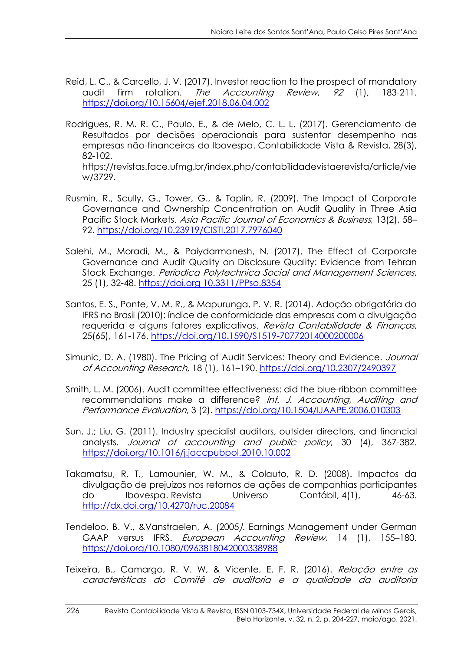- Reid, L. C., & Carcello, J. V. (2017). Investor reaction to the prospect of mandatory audit firm rotation. The Accounting Review, 92 (1), 183-211. https://doi.org/10.15604/ejef.2018.06.04.002
- Rodrigues, R. M. R. C., Paulo, E., & de Melo, C. L. L. (2017). Gerenciamento de Resultados por decisões operacionais para sustentar desempenho nas empresas não-financeiras do Ibovespa. Contabilidade Vista & Revista, 28(3), 82-102. https://revistas.face.ufmg.br/index.php/contabilidadevistaerevista/article/vie

w/3729.

- Rusmin, R., Scully, G., Tower, G., & Taplin, R. (2009). The Impact of Corporate Governance and Ownership Concentration on Audit Quality in Three Asia Pacific Stock Markets. Asia Pacific Journal of Economics & Business, 13(2), 58– 92. https://doi.org/10.23919/CISTI.2017.7976040
- Salehi, M., Moradi, M., & Paiydarmanesh, N. (2017). The Effect of Corporate Governance and Audit Quality on Disclosure Quality: Evidence from Tehran Stock Exchange. Periodica Polytechnica Social and Management Sciences, 25 (1), 32-48. https://doi.org 10.3311/PPso.8354
- Santos, E. S., Ponte, V. M. R., & Mapurunga, P. V. R. (2014). Adoção obrigatória do IFRS no Brasil (2010): índice de conformidade das empresas com a divulgação requerida e alguns fatores explicativos. Revista Contabilidade & Financas, 25(65), 161-176. https://doi.org/10.1590/S1519-70772014000200006
- Simunic, D. A. (1980). The Pricing of Audit Services: Theory and Evidence. *Journal* of Accounting Research, 18 (1), 161–190.<https://doi.org/10.2307/2490397>
- Smith, L. M. (2006). Audit committee effectiveness: did the blue-ribbon committee recommendations make a difference? Int. J. Accounting, Auditing and Performance Evaluation, 3 (2). https://doi.org[/10.1504/IJAAPE.2006.010303](http://dx.doi.org/10.1504/IJAAPE.2006.010303)
- Sun, J.; Liu, G. (2011). Industry specialist auditors, outsider directors, and financial analysts. Journal of accounting and public policy, 30 (4), 367-382. https://doi.org/10.1016/j.jaccpubpol.2010.10.002
- Takamatsu, R. T., Lamounier, W. M., & Colauto, R. D. (2008). Impactos da divulgação de prejuízos nos retornos de ações de companhias participantes do Ibovespa. Revista Universo Contábil, 4(1), 46-63. <http://dx.doi.org/10.4270/ruc.20084>
- Tendeloo, B. V., &Vanstraelen, A. (2005). Earnings Management under German GAAP versus IFRS. European Accounting Review, 14 (1), 155-180. https://doi.org/10.1080/0963818042000338988
- Teixeira, B., Camargo, R. V. W, & Vicente, E. F. R. (2016). Relação entre as características do Comitê de auditoria e a qualidade da auditoria